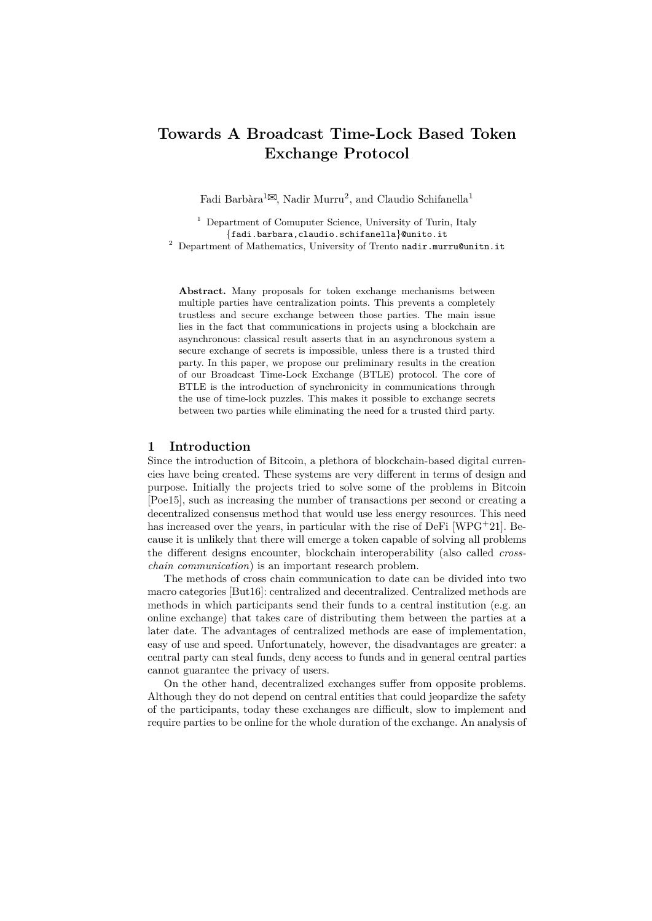# **Towards A Broadcast Time-Lock Based Token Exchange Protocol**

Fadi Barbàra<sup>1 $\boxtimes$ </sup>, Nadir Murru<sup>2</sup>, and Claudio Schifanella<sup>1</sup>

<sup>1</sup> Department of Comuputer Science, University of Turin, Italy {fadi.barbara,claudio.schifanella}@unito.it <sup>2</sup> Department of Mathematics, University of Trento nadir.murru@unitn.it

**Abstract.** Many proposals for token exchange mechanisms between multiple parties have centralization points. This prevents a completely trustless and secure exchange between those parties. The main issue lies in the fact that communications in projects using a blockchain are asynchronous: classical result asserts that in an asynchronous system a secure exchange of secrets is impossible, unless there is a trusted third party. In this paper, we propose our preliminary results in the creation of our Broadcast Time-Lock Exchange (BTLE) protocol. The core of BTLE is the introduction of synchronicity in communications through the use of time-lock puzzles. This makes it possible to exchange secrets between two parties while eliminating the need for a trusted third party.

### **1 Introduction**

Since the introduction of Bitcoin, a plethora of blockchain-based digital currencies have being created. These systems are very different in terms of design and purpose. Initially the projects tried to solve some of the problems in Bitcoin [Poe15], such as increasing the number of transactions per second or creating a decentralized consensus method that would use less energy resources. This need has increased over the years, in particular with the rise of DeFi [WPG<sup>+</sup>21]. Because it is unlikely that there will emerge a token capable of solving all problems the different designs encounter, blockchain interoperability (also called *crosschain communication*) is an important research problem.

The methods of cross chain communication to date can be divided into two macro categories [But16]: centralized and decentralized. Centralized methods are methods in which participants send their funds to a central institution (e.g. an online exchange) that takes care of distributing them between the parties at a later date. The advantages of centralized methods are ease of implementation, easy of use and speed. Unfortunately, however, the disadvantages are greater: a central party can steal funds, deny access to funds and in general central parties cannot guarantee the privacy of users.

On the other hand, decentralized exchanges suffer from opposite problems. Although they do not depend on central entities that could jeopardize the safety of the participants, today these exchanges are difficult, slow to implement and require parties to be online for the whole duration of the exchange. An analysis of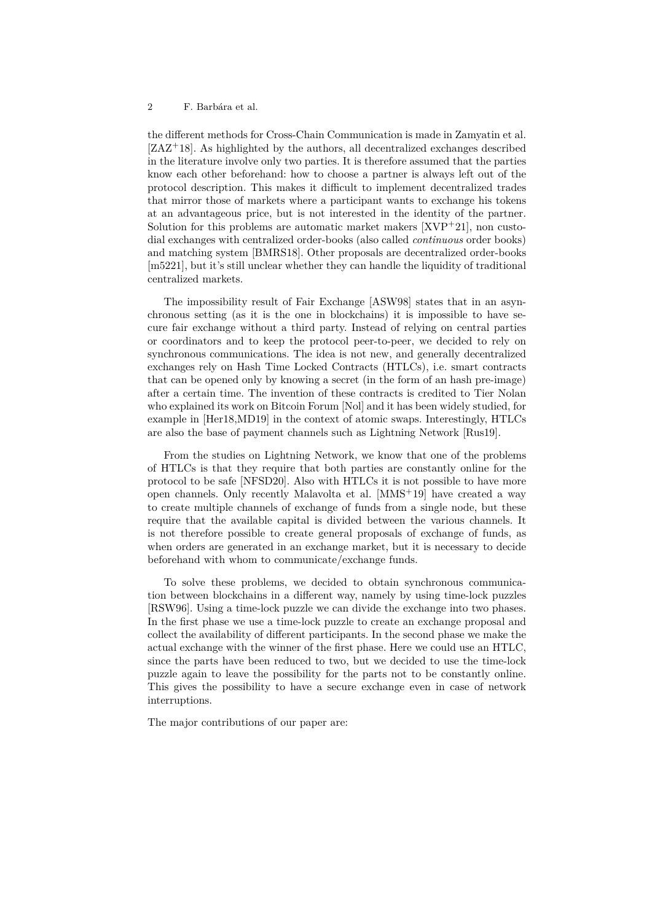#### 2 F. Barbára et al.

the different methods for Cross-Chain Communication is made in Zamyatin et al.  $[Z\Delta Z^+18]$ . As highlighted by the authors, all decentralized exchanges described in the literature involve only two parties. It is therefore assumed that the parties know each other beforehand: how to choose a partner is always left out of the protocol description. This makes it difficult to implement decentralized trades that mirror those of markets where a participant wants to exchange his tokens at an advantageous price, but is not interested in the identity of the partner. Solution for this problems are automatic market makers  $[XVP<sup>+</sup>21]$ , non custodial exchanges with centralized order-books (also called *continuous* order books) and matching system [BMRS18]. Other proposals are decentralized order-books [m5221], but it's still unclear whether they can handle the liquidity of traditional centralized markets.

The impossibility result of Fair Exchange [ASW98] states that in an asynchronous setting (as it is the one in blockchains) it is impossible to have secure fair exchange without a third party. Instead of relying on central parties or coordinators and to keep the protocol peer-to-peer, we decided to rely on synchronous communications. The idea is not new, and generally decentralized exchanges rely on Hash Time Locked Contracts (HTLCs), i.e. smart contracts that can be opened only by knowing a secret (in the form of an hash pre-image) after a certain time. The invention of these contracts is credited to Tier Nolan who explained its work on Bitcoin Forum [Nol] and it has been widely studied, for example in [Her18,MD19] in the context of atomic swaps. Interestingly, HTLCs are also the base of payment channels such as Lightning Network [Rus19].

From the studies on Lightning Network, we know that one of the problems of HTLCs is that they require that both parties are constantly online for the protocol to be safe [NFSD20]. Also with HTLCs it is not possible to have more open channels. Only recently Malavolta et al. [MMS<sup>+</sup>19] have created a way to create multiple channels of exchange of funds from a single node, but these require that the available capital is divided between the various channels. It is not therefore possible to create general proposals of exchange of funds, as when orders are generated in an exchange market, but it is necessary to decide beforehand with whom to communicate/exchange funds.

To solve these problems, we decided to obtain synchronous communication between blockchains in a different way, namely by using time-lock puzzles [RSW96]. Using a time-lock puzzle we can divide the exchange into two phases. In the first phase we use a time-lock puzzle to create an exchange proposal and collect the availability of different participants. In the second phase we make the actual exchange with the winner of the first phase. Here we could use an HTLC, since the parts have been reduced to two, but we decided to use the time-lock puzzle again to leave the possibility for the parts not to be constantly online. This gives the possibility to have a secure exchange even in case of network interruptions.

The major contributions of our paper are: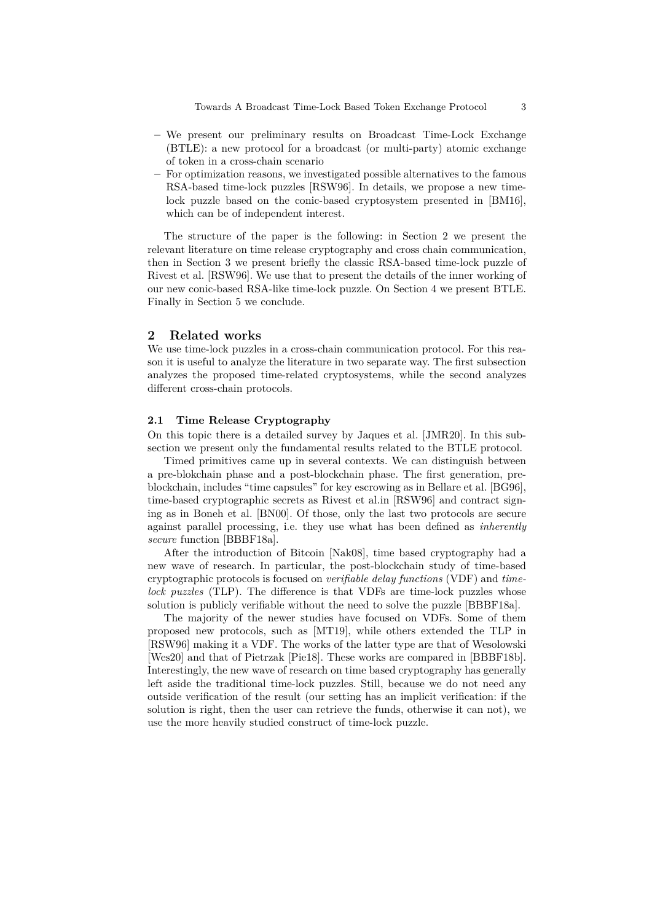- **–** We present our preliminary results on Broadcast Time-Lock Exchange (BTLE): a new protocol for a broadcast (or multi-party) atomic exchange of token in a cross-chain scenario
- **–** For optimization reasons, we investigated possible alternatives to the famous RSA-based time-lock puzzles [RSW96]. In details, we propose a new timelock puzzle based on the conic-based cryptosystem presented in [BM16], which can be of independent interest.

The structure of the paper is the following: in Section 2 we present the relevant literature on time release cryptography and cross chain communication, then in Section 3 we present briefly the classic RSA-based time-lock puzzle of Rivest et al. [RSW96]. We use that to present the details of the inner working of our new conic-based RSA-like time-lock puzzle. On Section 4 we present BTLE. Finally in Section 5 we conclude.

## **2 Related works**

We use time-lock puzzles in a cross-chain communication protocol. For this reason it is useful to analyze the literature in two separate way. The first subsection analyzes the proposed time-related cryptosystems, while the second analyzes different cross-chain protocols.

#### **2.1 Time Release Cryptography**

On this topic there is a detailed survey by Jaques et al. [JMR20]. In this subsection we present only the fundamental results related to the BTLE protocol.

Timed primitives came up in several contexts. We can distinguish between a pre-blokchain phase and a post-blockchain phase. The first generation, preblockchain, includes "time capsules" for key escrowing as in Bellare et al. [BG96], time-based cryptographic secrets as Rivest et al.in [RSW96] and contract signing as in Boneh et al. [BN00]. Of those, only the last two protocols are secure against parallel processing, i.e. they use what has been defined as *inherently secure* function [BBBF18a].

After the introduction of Bitcoin [Nak08], time based cryptography had a new wave of research. In particular, the post-blockchain study of time-based cryptographic protocols is focused on *verifiable delay functions* (VDF) and *timelock puzzles* (TLP). The difference is that VDFs are time-lock puzzles whose solution is publicly verifiable without the need to solve the puzzle [BBBF18a].

The majority of the newer studies have focused on VDFs. Some of them proposed new protocols, such as [MT19], while others extended the TLP in [RSW96] making it a VDF. The works of the latter type are that of Wesolowski [Wes20] and that of Pietrzak [Pie18]. These works are compared in [BBBF18b]. Interestingly, the new wave of research on time based cryptography has generally left aside the traditional time-lock puzzles. Still, because we do not need any outside verification of the result (our setting has an implicit verification: if the solution is right, then the user can retrieve the funds, otherwise it can not), we use the more heavily studied construct of time-lock puzzle.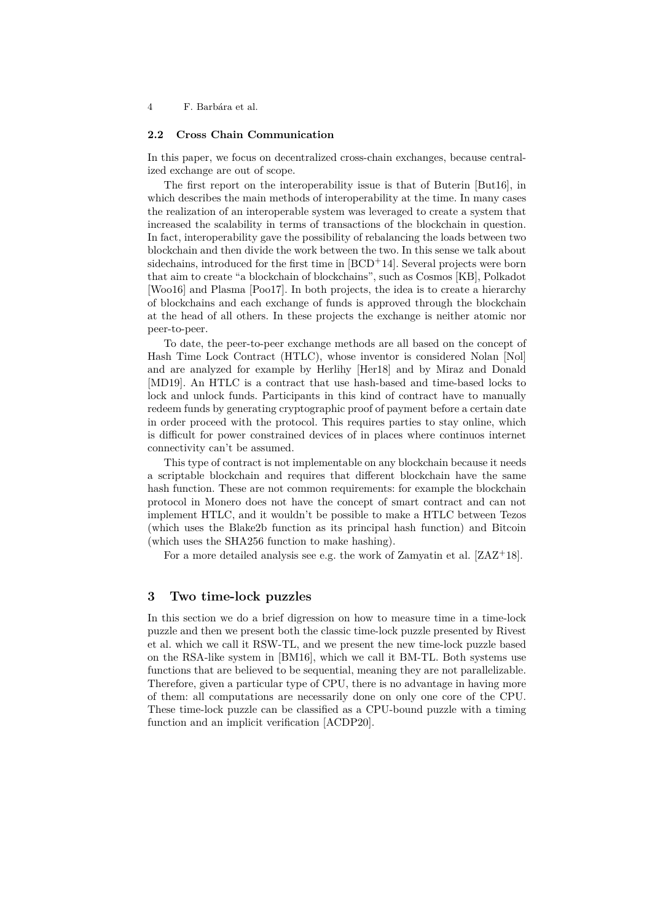4 F. Barbára et al.

### **2.2 Cross Chain Communication**

In this paper, we focus on decentralized cross-chain exchanges, because centralized exchange are out of scope.

The first report on the interoperability issue is that of Buterin [But16], in which describes the main methods of interoperability at the time. In many cases the realization of an interoperable system was leveraged to create a system that increased the scalability in terms of transactions of the blockchain in question. In fact, interoperability gave the possibility of rebalancing the loads between two blockchain and then divide the work between the two. In this sense we talk about sidechains, introduced for the first time in  $[BCD<sup>+</sup>14]$ . Several projects were born that aim to create "a blockchain of blockchains", such as Cosmos [KB], Polkadot [Woo16] and Plasma [Poo17]. In both projects, the idea is to create a hierarchy of blockchains and each exchange of funds is approved through the blockchain at the head of all others. In these projects the exchange is neither atomic nor peer-to-peer.

To date, the peer-to-peer exchange methods are all based on the concept of Hash Time Lock Contract (HTLC), whose inventor is considered Nolan [Nol] and are analyzed for example by Herlihy [Her18] and by Miraz and Donald [MD19]. An HTLC is a contract that use hash-based and time-based locks to lock and unlock funds. Participants in this kind of contract have to manually redeem funds by generating cryptographic proof of payment before a certain date in order proceed with the protocol. This requires parties to stay online, which is difficult for power constrained devices of in places where continuos internet connectivity can't be assumed.

This type of contract is not implementable on any blockchain because it needs a scriptable blockchain and requires that different blockchain have the same hash function. These are not common requirements: for example the blockchain protocol in Monero does not have the concept of smart contract and can not implement HTLC, and it wouldn't be possible to make a HTLC between Tezos (which uses the Blake2b function as its principal hash function) and Bitcoin (which uses the SHA256 function to make hashing).

For a more detailed analysis see e.g. the work of Zamyatin et al.  $[ZAZ^+18]$ .

## **3 Two time-lock puzzles**

In this section we do a brief digression on how to measure time in a time-lock puzzle and then we present both the classic time-lock puzzle presented by Rivest et al. which we call it RSW-TL, and we present the new time-lock puzzle based on the RSA-like system in [BM16], which we call it BM-TL. Both systems use functions that are believed to be sequential, meaning they are not parallelizable. Therefore, given a particular type of CPU, there is no advantage in having more of them: all computations are necessarily done on only one core of the CPU. These time-lock puzzle can be classified as a CPU-bound puzzle with a timing function and an implicit verification [ACDP20].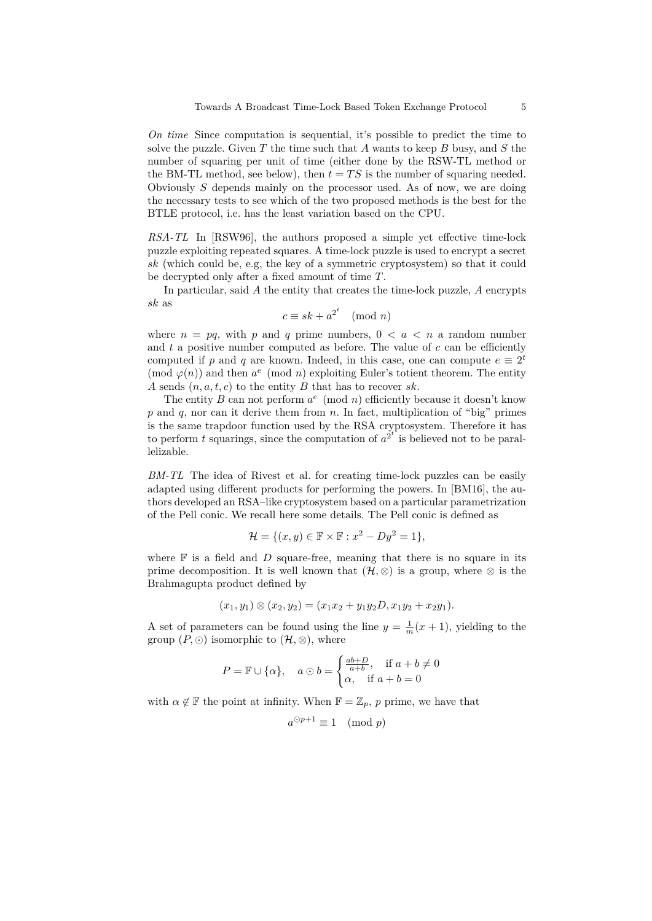*On time* Since computation is sequential, it's possible to predict the time to solve the puzzle. Given *T* the time such that *A* wants to keep *B* busy, and *S* the number of squaring per unit of time (either done by the RSW-TL method or the BM-TL method, see below), then  $t = TS$  is the number of squaring needed. Obviously *S* depends mainly on the processor used. As of now, we are doing the necessary tests to see which of the two proposed methods is the best for the BTLE protocol, i.e. has the least variation based on the CPU.

*RSA-TL* In [RSW96], the authors proposed a simple yet effective time-lock puzzle exploiting repeated squares. A time-lock puzzle is used to encrypt a secret *sk* (which could be, e.g, the key of a symmetric cryptosystem) so that it could be decrypted only after a fixed amount of time *T*.

In particular, said *A* the entity that creates the time-lock puzzle, *A* encrypts *sk* as

$$
c \equiv sk + a^{2^t} \pmod{n}
$$

where  $n = pq$ , with p and q prime numbers,  $0 \lt a \lt n$  a random number and  $t$  a positive number computed as before. The value of  $c$  can be efficiently computed if *p* and *q* are known. Indeed, in this case, one can compute  $e \equiv 2^t$ (mod  $\varphi(n)$ ) and then  $a^e$  (mod *n*) exploiting Euler's totient theorem. The entity *A* sends (*n, a, t, c*) to the entity *B* that has to recover *sk*.

The entity *B* can not perform  $a^e \pmod{n}$  efficiently because it doesn't know *p* and *q*, nor can it derive them from *n*. In fact, multiplication of "big" primes is the same trapdoor function used by the RSA cryptosystem. Therefore it has to perform *t* squarings, since the computation of  $a^{2t}$  is believed not to be parallelizable.

*BM-TL* The idea of Rivest et al. for creating time-lock puzzles can be easily adapted using different products for performing the powers. In [BM16], the authors developed an RSA–like cryptosystem based on a particular parametrization of the Pell conic. We recall here some details. The Pell conic is defined as

$$
\mathcal{H} = \{ (x, y) \in \mathbb{F} \times \mathbb{F} : x^2 - Dy^2 = 1 \},\
$$

where  $\mathbb F$  is a field and  $D$  square-free, meaning that there is no square in its prime decomposition. It is well known that  $(H, \otimes)$  is a group, where  $\otimes$  is the Brahmagupta product defined by

$$
(x_1, y_1) \otimes (x_2, y_2) = (x_1x_2 + y_1y_2D, x_1y_2 + x_2y_1).
$$

A set of parameters can be found using the line  $y = \frac{1}{m}(x+1)$ , yielding to the group  $(P, \odot)$  isomorphic to  $(\mathcal{H}, \otimes)$ , where

$$
P = \mathbb{F} \cup \{ \alpha \}, \quad a \odot b = \begin{cases} \frac{ab+D}{a+b}, & \text{if } a+b \neq 0 \\ \alpha, & \text{if } a+b = 0 \end{cases}
$$

with  $\alpha \notin \mathbb{F}$  the point at infinity. When  $\mathbb{F} = \mathbb{Z}_p$ , *p* prime, we have that

$$
a^{\odot p+1} \equiv 1 \pmod{p}
$$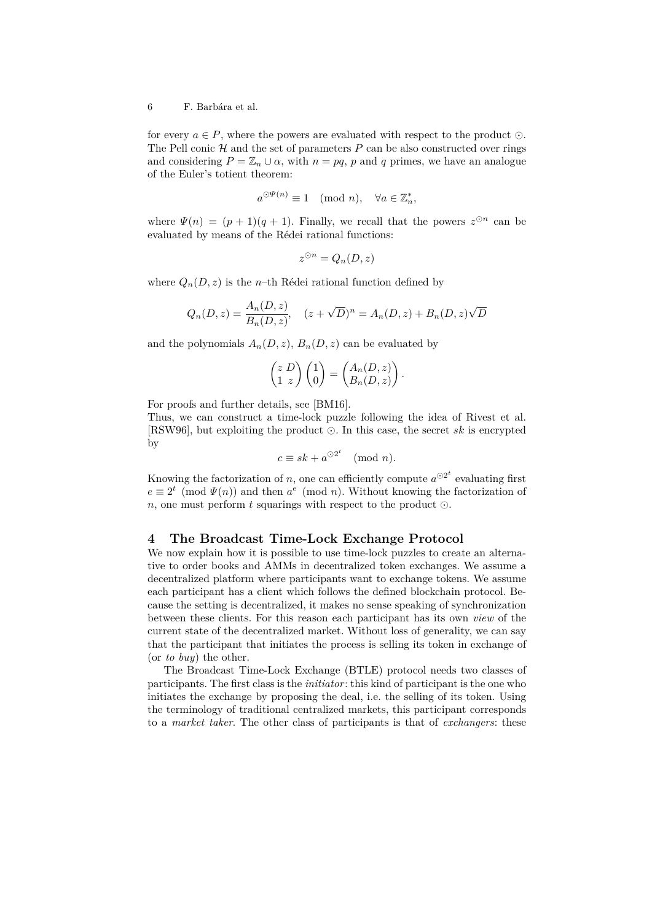#### 6 F. Barbára et al.

for every  $a \in P$ , where the powers are evaluated with respect to the product  $\odot$ . The Pell conic  $H$  and the set of parameters  $P$  can be also constructed over rings and considering  $P = \mathbb{Z}_n \cup \alpha$ , with  $n = pq$ , *p* and *q* primes, we have an analogue of the Euler's totient theorem:

$$
a^{\odot \Psi(n)} \equiv 1 \pmod{n}, \quad \forall a \in \mathbb{Z}_n^*,
$$

where  $\Psi(n) = (p+1)(q+1)$ . Finally, we recall that the powers  $z^{\odot n}$  can be evaluated by means of the Rédei rational functions:

$$
z^{\odot n} = Q_n(D, z)
$$

where  $Q_n(D, z)$  is the *n*-th Rédei rational function defined by

$$
Q_n(D, z) = \frac{A_n(D, z)}{B_n(D, z)}, \quad (z + \sqrt{D})^n = A_n(D, z) + B_n(D, z)\sqrt{D}
$$

and the polynomials  $A_n(D, z)$ ,  $B_n(D, z)$  can be evaluated by

$$
\begin{pmatrix} z \ D \\ 1 \ z \end{pmatrix} \begin{pmatrix} 1 \\ 0 \end{pmatrix} = \begin{pmatrix} A_n(D, z) \\ B_n(D, z) \end{pmatrix}.
$$

For proofs and further details, see [BM16].

Thus, we can construct a time-lock puzzle following the idea of Rivest et al. [RSW96], but exploiting the product  $\odot$ . In this case, the secret *sk* is encrypted by

$$
c \equiv sk + a^{\odot 2^t} \pmod{n}.
$$

Knowing the factorization of *n*, one can efficiently compute  $a^{\odot 2^t}$  evaluating first  $e \equiv 2^t \pmod{\Psi(n)}$  and then  $a^e \pmod{n}$ . Without knowing the factorization of  $n$ , one must perform  $t$  squarings with respect to the product  $\odot$ .

# **4 The Broadcast Time-Lock Exchange Protocol**

We now explain how it is possible to use time-lock puzzles to create an alternative to order books and AMMs in decentralized token exchanges. We assume a decentralized platform where participants want to exchange tokens. We assume each participant has a client which follows the defined blockchain protocol. Because the setting is decentralized, it makes no sense speaking of synchronization between these clients. For this reason each participant has its own *view* of the current state of the decentralized market. Without loss of generality, we can say that the participant that initiates the process is selling its token in exchange of (or *to buy*) the other.

The Broadcast Time-Lock Exchange (BTLE) protocol needs two classes of participants. The first class is the *initiator*: this kind of participant is the one who initiates the exchange by proposing the deal, i.e. the selling of its token. Using the terminology of traditional centralized markets, this participant corresponds to a *market taker*. The other class of participants is that of *exchangers*: these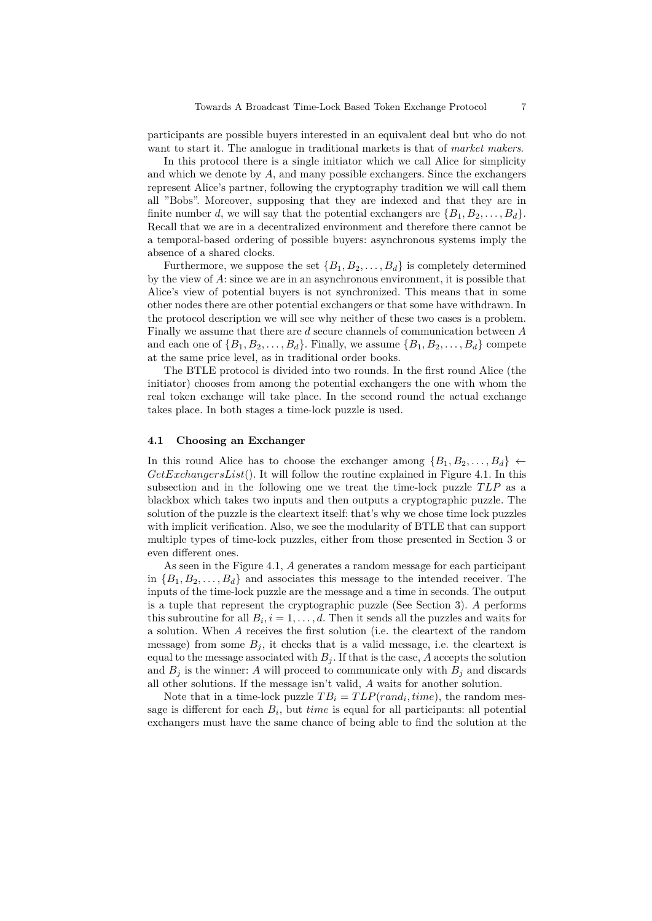participants are possible buyers interested in an equivalent deal but who do not want to start it. The analogue in traditional markets is that of *market makers*.

In this protocol there is a single initiator which we call Alice for simplicity and which we denote by *A*, and many possible exchangers. Since the exchangers represent Alice's partner, following the cryptography tradition we will call them all "Bobs". Moreover, supposing that they are indexed and that they are in finite number *d*, we will say that the potential exchangers are  $\{B_1, B_2, \ldots, B_d\}$ . Recall that we are in a decentralized environment and therefore there cannot be a temporal-based ordering of possible buyers: asynchronous systems imply the absence of a shared clocks.

Furthermore, we suppose the set  $\{B_1, B_2, \ldots, B_d\}$  is completely determined by the view of *A*: since we are in an asynchronous environment, it is possible that Alice's view of potential buyers is not synchronized. This means that in some other nodes there are other potential exchangers or that some have withdrawn. In the protocol description we will see why neither of these two cases is a problem. Finally we assume that there are *d* secure channels of communication between *A* and each one of  ${B_1, B_2, \ldots, B_d}$ . Finally, we assume  ${B_1, B_2, \ldots, B_d}$  compete at the same price level, as in traditional order books.

The BTLE protocol is divided into two rounds. In the first round Alice (the initiator) chooses from among the potential exchangers the one with whom the real token exchange will take place. In the second round the actual exchange takes place. In both stages a time-lock puzzle is used.

#### **4.1 Choosing an Exchanger**

In this round Alice has to choose the exchanger among  $\{B_1, B_2, \ldots, B_d\}$  ← *GetExchangersList*(). It will follow the routine explained in Figure 4.1. In this subsection and in the following one we treat the time-lock puzzle *T LP* as a blackbox which takes two inputs and then outputs a cryptographic puzzle. The solution of the puzzle is the cleartext itself: that's why we chose time lock puzzles with implicit verification. Also, we see the modularity of BTLE that can support multiple types of time-lock puzzles, either from those presented in Section 3 or even different ones.

As seen in the Figure 4.1, *A* generates a random message for each participant in  ${B_1, B_2, \ldots, B_d}$  and associates this message to the intended receiver. The inputs of the time-lock puzzle are the message and a time in seconds. The output is a tuple that represent the cryptographic puzzle (See Section 3). *A* performs this subroutine for all  $B_i$ ,  $i = 1, \ldots, d$ . Then it sends all the puzzles and waits for a solution. When *A* receives the first solution (i.e. the cleartext of the random message) from some  $B_j$ , it checks that is a valid message, i.e. the cleartext is equal to the message associated with  $B_j$ . If that is the case,  $A$  accepts the solution and  $B_i$  is the winner: A will proceed to communicate only with  $B_i$  and discards all other solutions. If the message isn't valid, *A* waits for another solution.

Note that in a time-lock puzzle  $TB_i = TLP(range, time)$ , the random message is different for each  $B_i$ , but *time* is equal for all participants: all potential exchangers must have the same chance of being able to find the solution at the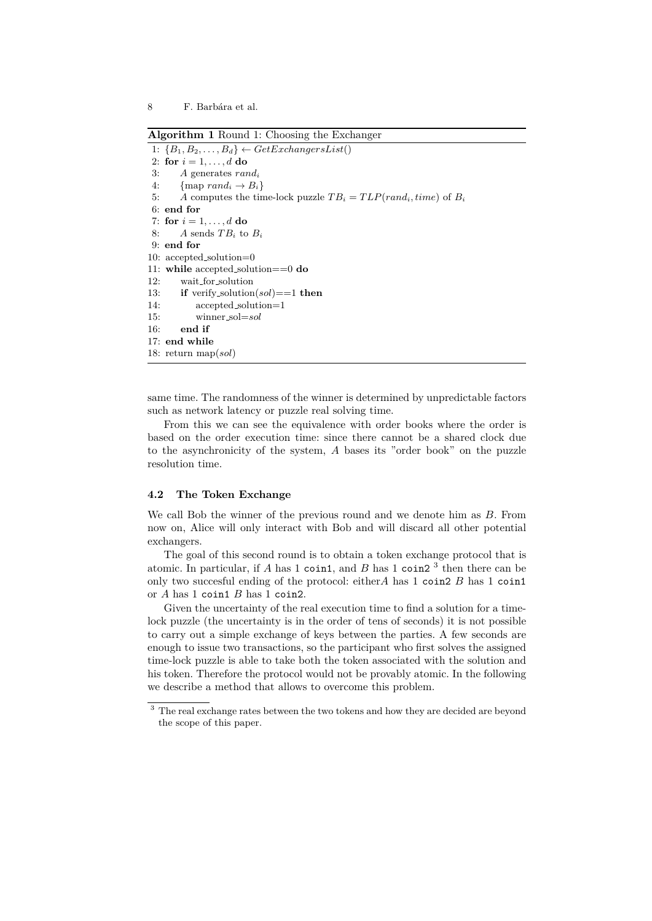**Algorithm 1** Round 1: Choosing the Exchanger

1:  ${B_1, B_2, \ldots, B_d} \leftarrow GetExchangeersList()$ 

2: **for**  $i = 1, ..., d$  **do** 

3: *A* generates *rand<sup>i</sup>* 4:  $\{\text{map } rand_i \to B_i\}$ 

5: *A* computes the time-lock puzzle  $TB_i = TLP(rand_i, time)$  of  $B_i$ 

6: **end for**

- 7: **for**  $i = 1, ..., d$  **do**
- 8: *A* sends  $TB_i$  to  $B_i$

9: **end for**

- 10: accepted solution=0
- 11: **while** accepted solution==0 **do**
- 12: wait for solution 13: **if** verify solution(*sol*)==1 **then**
- 14: accepted solution=1
- 15: winner sol=*sol*

```
16: end if
```
17: **end while**

```
18: return map(sol)
```
same time. The randomness of the winner is determined by unpredictable factors such as network latency or puzzle real solving time.

From this we can see the equivalence with order books where the order is based on the order execution time: since there cannot be a shared clock due to the asynchronicity of the system, *A* bases its "order book" on the puzzle resolution time.

#### **4.2 The Token Exchange**

We call Bob the winner of the previous round and we denote him as *B*. From now on, Alice will only interact with Bob and will discard all other potential exchangers.

The goal of this second round is to obtain a token exchange protocol that is atomic. In particular, if *A* has 1 coin1, and *B* has 1 coin2<sup>3</sup> then there can be only two succesful ending of the protocol: either*A* has 1 coin2 *B* has 1 coin1 or *A* has 1 coin1 *B* has 1 coin2.

Given the uncertainty of the real execution time to find a solution for a timelock puzzle (the uncertainty is in the order of tens of seconds) it is not possible to carry out a simple exchange of keys between the parties. A few seconds are enough to issue two transactions, so the participant who first solves the assigned time-lock puzzle is able to take both the token associated with the solution and his token. Therefore the protocol would not be provably atomic. In the following we describe a method that allows to overcome this problem.

<sup>&</sup>lt;sup>3</sup> The real exchange rates between the two tokens and how they are decided are beyond the scope of this paper.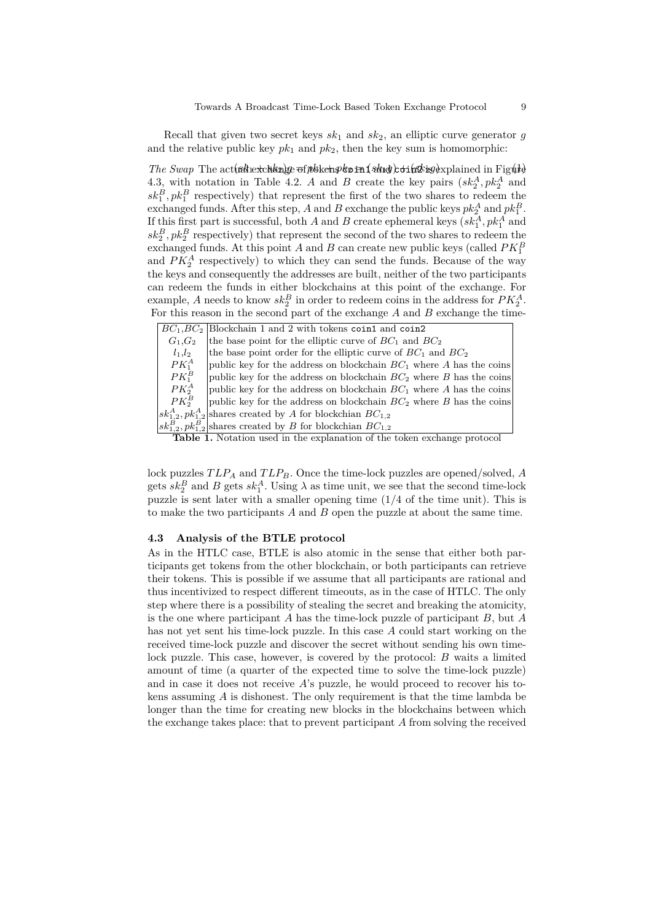Recall that given two secret keys  $sk_1$  and  $sk_2$ , an elliptic curve generator  $g$ and the relative public key  $pk_1$  and  $pk_2$ , then the key sum is homomorphic:

*The Swap* The actual exchange of tokens (*sk*<sup>1</sup> + *sk*2)*g* = *pk*<sup>1</sup> + *pk*coin1 <sup>2</sup> = (*sk*and1*g*) + ( coin2*sk*2is explained in Figure *g*) (1) 4.3, with notation in Table 4.2. *A* and *B* create the key pairs  $(sk_2^A, pk_2^A$  and  $sk_1^B, pk_1^B$  respectively) that represent the first of the two shares to redeem the exchanged funds. After this step, *A* and *B* exchange the public keys  $pk_2^A$  and  $pk_1^B$ . If this first part is successful, both *A* and *B* create ephemeral keys  $(sk_1^A, pk_1^A$  and  $sk_2^B$ ,  $pk_2^B$  respectively) that represent the second of the two shares to redeem the exchanged funds. At this point *A* and *B* can create new public keys (called  $PK<sub>1</sub><sup>B</sup>$ and  $PK<sub>2</sub><sup>A</sup>$  respectively) to which they can send the funds. Because of the way the keys and consequently the addresses are built, neither of the two participants can redeem the funds in either blockchains at this point of the exchange. For example, *A* needs to know  $sk_2^B$  in order to redeem coins in the address for  $PK_2^A$ . For this reason in the second part of the exchange *A* and *B* exchange the time-

|            | $BC_1, BC_2$ Blockchain 1 and 2 with tokens coin 1 and coin 2                |
|------------|------------------------------------------------------------------------------|
| $G_1,G_2$  | the base point for the elliptic curve of $BC_1$ and $BC_2$                   |
| $l_1, l_2$ | the base point order for the elliptic curve of $BC_1$ and $BC_2$             |
| $PK_1^A$   | public key for the address on blockchain $BC_1$ where A has the coins        |
| $PK_1^B$   | public key for the address on blockchain $BC_2$ where B has the coins        |
| $PK^A_2$   | public key for the address on blockchain $BC_1$ where A has the coins        |
| $PK_2^B$   | public key for the address on blockchain $BC_2$ where B has the coins        |
|            | $ sk_{1,2}^{A}, pk_{1,2}^{A} $ shares created by A for blockchian $BC_{1,2}$ |
|            | $ sk_{1,2}^B, pk_{1,2}^B $ shares created by B for blockchian $BC_{1,2}$     |

**Table 1.** Notation used in the explanation of the token exchange protocol

lock puzzles  $TLP_A$  and  $TLP_B$ . Once the time-lock puzzles are opened/solved, *A* gets  $sk_2^B$  and *B* gets  $sk_1^A$ . Using  $\lambda$  as time unit, we see that the second time-lock puzzle is sent later with a smaller opening time (1*/*4 of the time unit). This is to make the two participants *A* and *B* open the puzzle at about the same time.

# **4.3 Analysis of the BTLE protocol**

As in the HTLC case, BTLE is also atomic in the sense that either both participants get tokens from the other blockchain, or both participants can retrieve their tokens. This is possible if we assume that all participants are rational and thus incentivized to respect different timeouts, as in the case of HTLC. The only step where there is a possibility of stealing the secret and breaking the atomicity, is the one where participant *A* has the time-lock puzzle of participant *B*, but *A* has not yet sent his time-lock puzzle. In this case *A* could start working on the received time-lock puzzle and discover the secret without sending his own timelock puzzle. This case, however, is covered by the protocol: *B* waits a limited amount of time (a quarter of the expected time to solve the time-lock puzzle) and in case it does not receive *A*'s puzzle, he would proceed to recover his tokens assuming *A* is dishonest. The only requirement is that the time lambda be longer than the time for creating new blocks in the blockchains between which the exchange takes place: that to prevent participant *A* from solving the received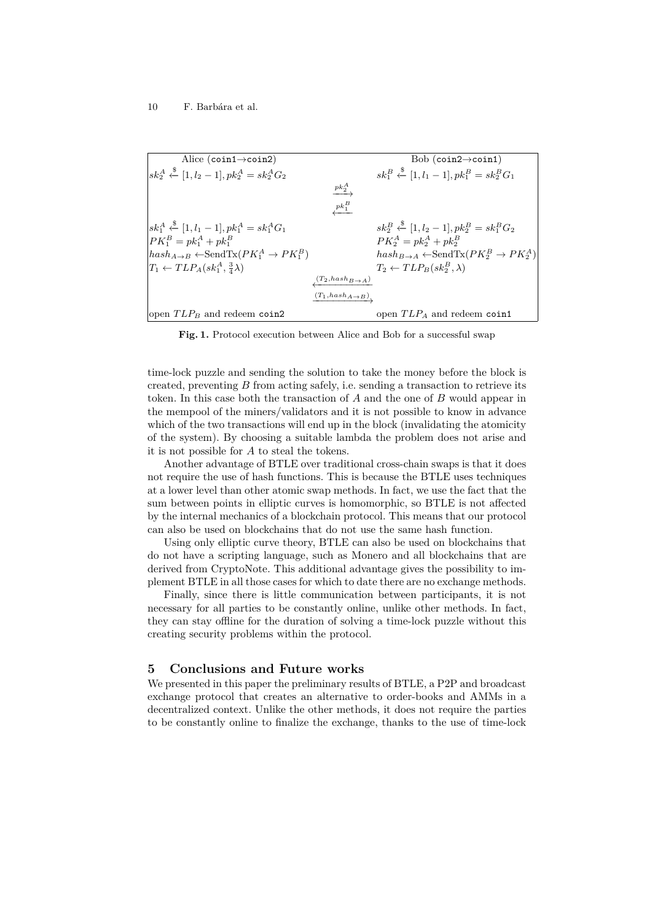| Alice (coin1 $\rightarrow$ coin2)                                           |                                | Bob (coin2 $\rightarrow$ coin1)                                             |
|-----------------------------------------------------------------------------|--------------------------------|-----------------------------------------------------------------------------|
| $sk_2^A \stackrel{\$}{\leftarrow} [1, l_2 - 1], pk_2^A = sk_2^A G_2$        |                                | $sk_1^B \stackrel{\$}{\leftarrow} [1, l_1 - 1], pk_1^B = sk_2^B G_1$        |
|                                                                             | $pk_2^A$                       |                                                                             |
|                                                                             | $\mathbb{R}^{B}_{1}$           |                                                                             |
| $ sk_1^A \stackrel{\$}{\leftarrow} [1, l_1-1], pk_1^A = sk_1^A G_1$         |                                | $sk_2^B \stackrel{\$}{\leftarrow} [1, l_2 - 1], pk_2^B = sk_1^B G_2$        |
| $PK_1^B = pk_1^A + pk_1^B$                                                  |                                | $PK_2^A = pk_2^A + pk_2^B$                                                  |
| $hash_{A\rightarrow B} \leftarrow \text{SendTx}(PK_1^A \rightarrow PK_1^B)$ |                                | $hash_{B\rightarrow A} \leftarrow \text{SendTx}(PK_2^B \rightarrow PK_2^A)$ |
| $T_1 \leftarrow TLP_A(sk_1^A, \frac{3}{4}\lambda)$                          |                                | $T_2 \leftarrow TLP_B(sk_2^B, \lambda)$                                     |
|                                                                             | $(T_2, hash_{B\rightarrow A})$ |                                                                             |
|                                                                             | $(T_1, hash_{A\rightarrow B})$ |                                                                             |
| open $TLP_B$ and redeem coin2                                               |                                | open $TLP_A$ and redeem coin1                                               |

**Fig. 1.** Protocol execution between Alice and Bob for a successful swap

time-lock puzzle and sending the solution to take the money before the block is created, preventing *B* from acting safely, i.e. sending a transaction to retrieve its token. In this case both the transaction of *A* and the one of *B* would appear in the mempool of the miners/validators and it is not possible to know in advance which of the two transactions will end up in the block (invalidating the atomicity of the system). By choosing a suitable lambda the problem does not arise and it is not possible for *A* to steal the tokens.

Another advantage of BTLE over traditional cross-chain swaps is that it does not require the use of hash functions. This is because the BTLE uses techniques at a lower level than other atomic swap methods. In fact, we use the fact that the sum between points in elliptic curves is homomorphic, so BTLE is not affected by the internal mechanics of a blockchain protocol. This means that our protocol can also be used on blockchains that do not use the same hash function.

Using only elliptic curve theory, BTLE can also be used on blockchains that do not have a scripting language, such as Monero and all blockchains that are derived from CryptoNote. This additional advantage gives the possibility to implement BTLE in all those cases for which to date there are no exchange methods.

Finally, since there is little communication between participants, it is not necessary for all parties to be constantly online, unlike other methods. In fact, they can stay offline for the duration of solving a time-lock puzzle without this creating security problems within the protocol.

### **5 Conclusions and Future works**

We presented in this paper the preliminary results of BTLE, a P2P and broadcast exchange protocol that creates an alternative to order-books and AMMs in a decentralized context. Unlike the other methods, it does not require the parties to be constantly online to finalize the exchange, thanks to the use of time-lock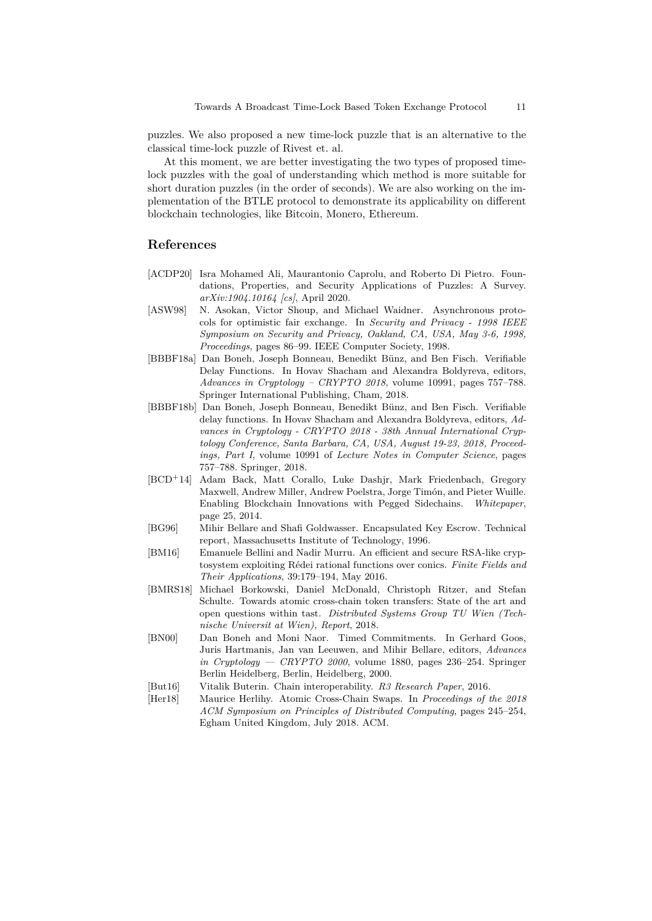puzzles. We also proposed a new time-lock puzzle that is an alternative to the classical time-lock puzzle of Rivest et. al.

At this moment, we are better investigating the two types of proposed timelock puzzles with the goal of understanding which method is more suitable for short duration puzzles (in the order of seconds). We are also working on the implementation of the BTLE protocol to demonstrate its applicability on different blockchain technologies, like Bitcoin, Monero, Ethereum.

## **References**

- [ACDP20] Isra Mohamed Ali, Maurantonio Caprolu, and Roberto Di Pietro. Foundations, Properties, and Security Applications of Puzzles: A Survey. *arXiv:1904.10164 [cs]*, April 2020.
- [ASW98] N. Asokan, Victor Shoup, and Michael Waidner. Asynchronous protocols for optimistic fair exchange. In *Security and Privacy - 1998 IEEE Symposium on Security and Privacy, Oakland, CA, USA, May 3-6, 1998, Proceedings*, pages 86–99. IEEE Computer Society, 1998.
- [BBBF18a] Dan Boneh, Joseph Bonneau, Benedikt Bünz, and Ben Fisch. Verifiable Delay Functions. In Hovav Shacham and Alexandra Boldyreva, editors, *Advances in Cryptology – CRYPTO 2018*, volume 10991, pages 757–788. Springer International Publishing, Cham, 2018.
- [BBBF18b] Dan Boneh, Joseph Bonneau, Benedikt Bünz, and Ben Fisch. Verifiable delay functions. In Hovav Shacham and Alexandra Boldyreva, editors, *Advances in Cryptology - CRYPTO 2018 - 38th Annual International Cryptology Conference, Santa Barbara, CA, USA, August 19-23, 2018, Proceedings, Part I*, volume 10991 of *Lecture Notes in Computer Science*, pages 757–788. Springer, 2018.
- [BCD<sup>+</sup>14] Adam Back, Matt Corallo, Luke Dashjr, Mark Friedenbach, Gregory Maxwell, Andrew Miller, Andrew Poelstra, Jorge Timón, and Pieter Wuille. Enabling Blockchain Innovations with Pegged Sidechains. *Whitepaper*, page 25, 2014.
- [BG96] Mihir Bellare and Shafi Goldwasser. Encapsulated Key Escrow. Technical report, Massachusetts Institute of Technology, 1996.
- [BM16] Emanuele Bellini and Nadir Murru. An efficient and secure RSA-like cryptosystem exploiting R´edei rational functions over conics. *Finite Fields and Their Applications*, 39:179–194, May 2016.
- [BMRS18] Michael Borkowski, Daniel McDonald, Christoph Ritzer, and Stefan Schulte. Towards atomic cross-chain token transfers: State of the art and open questions within tast. *Distributed Systems Group TU Wien (Technische Universit at Wien), Report*, 2018.
- [BN00] Dan Boneh and Moni Naor. Timed Commitments. In Gerhard Goos, Juris Hartmanis, Jan van Leeuwen, and Mihir Bellare, editors, *Advances in Cryptology — CRYPTO 2000*, volume 1880, pages 236–254. Springer Berlin Heidelberg, Berlin, Heidelberg, 2000.
- [But16] Vitalik Buterin. Chain interoperability. *R3 Research Paper*, 2016.
- [Her18] Maurice Herlihy. Atomic Cross-Chain Swaps. In *Proceedings of the 2018 ACM Symposium on Principles of Distributed Computing*, pages 245–254, Egham United Kingdom, July 2018. ACM.